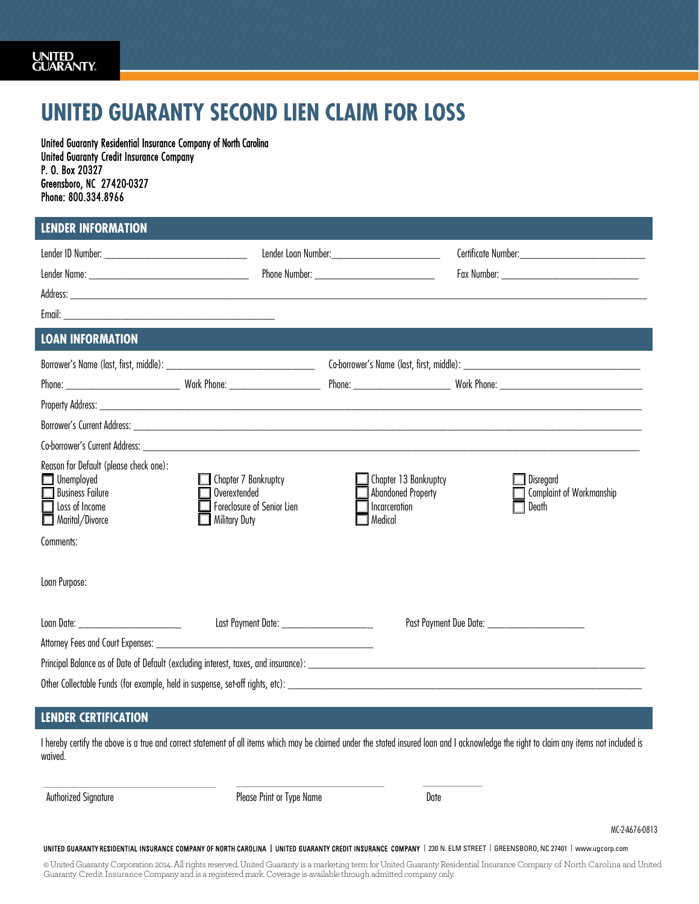## **UNITED GUARANTY SECOND LIEN CLAIM FOR LOSS**

United Guaranty Residential Insurance Company of North Carolina United Guaranty Credit Insurance Company P. O. Box 20327 Greensboro, NC 27420-0327 Phone: 800.334.8966

## **LENDER INFORMATION**

|                                                                                                                                                                                                     |                                                                                                   | Lender Loan Number: 1990 1990 1990 1991                                                                                                                                                                                             | Certificate Number: National According Certificate Number: |  |  |
|-----------------------------------------------------------------------------------------------------------------------------------------------------------------------------------------------------|---------------------------------------------------------------------------------------------------|-------------------------------------------------------------------------------------------------------------------------------------------------------------------------------------------------------------------------------------|------------------------------------------------------------|--|--|
|                                                                                                                                                                                                     |                                                                                                   | <b>Phone Number:</b> The Manual Science of the Manual Science of the Manual Science of the Manual Science of the Manual Science of the Manual Science of the Manual Science of the Manual Science of the Manual Science of the Manu |                                                            |  |  |
|                                                                                                                                                                                                     |                                                                                                   |                                                                                                                                                                                                                                     |                                                            |  |  |
|                                                                                                                                                                                                     |                                                                                                   |                                                                                                                                                                                                                                     |                                                            |  |  |
| <b>LOAN INFORMATION</b>                                                                                                                                                                             |                                                                                                   |                                                                                                                                                                                                                                     |                                                            |  |  |
|                                                                                                                                                                                                     |                                                                                                   |                                                                                                                                                                                                                                     |                                                            |  |  |
|                                                                                                                                                                                                     |                                                                                                   |                                                                                                                                                                                                                                     |                                                            |  |  |
|                                                                                                                                                                                                     |                                                                                                   |                                                                                                                                                                                                                                     |                                                            |  |  |
|                                                                                                                                                                                                     |                                                                                                   |                                                                                                                                                                                                                                     |                                                            |  |  |
|                                                                                                                                                                                                     |                                                                                                   |                                                                                                                                                                                                                                     |                                                            |  |  |
| Reason for Default (please check one):<br>Unemployed<br><b>Business Failure</b><br>Loss of Income<br>Marital/Divorce<br>Comments:                                                                   | $\Box$ Chapter 7 Bankruptcy<br>Overextended<br>Foreclosure of Senior Lien<br><b>Military Duty</b> | Chapter 13 Bankruptcy<br><b>Abandoned Property</b><br>Incarceration<br>Medical                                                                                                                                                      | $\Box$ Disregard<br>Complaint of Workmanship<br>Death      |  |  |
| Loan Purpose:                                                                                                                                                                                       |                                                                                                   |                                                                                                                                                                                                                                     |                                                            |  |  |
| Loan Date: _________________________                                                                                                                                                                | Last Payment Date: _____________________                                                          |                                                                                                                                                                                                                                     | Past Payment Due Date: _________________________           |  |  |
|                                                                                                                                                                                                     |                                                                                                   |                                                                                                                                                                                                                                     |                                                            |  |  |
|                                                                                                                                                                                                     |                                                                                                   |                                                                                                                                                                                                                                     |                                                            |  |  |
|                                                                                                                                                                                                     |                                                                                                   |                                                                                                                                                                                                                                     |                                                            |  |  |
| <b>LENDER CERTIFICATION</b>                                                                                                                                                                         |                                                                                                   |                                                                                                                                                                                                                                     |                                                            |  |  |
| I hereby certify the above is a true and correct statement of all items which may be claimed under the stated insured loan and I acknowledge the right to claim any items not included is<br>hevinw |                                                                                                   |                                                                                                                                                                                                                                     |                                                            |  |  |

Authorized Signature

Please Print or Type Name

 $\overline{a}$ 

Date

MC-2-A676-0813

UNITED GUARANTY RESIDENTIAL INSURANCE COMPANY OF NORTH CAROLINA | UNITED GUARANTY CREDIT INSURANCE COMPANY | 230 N. ELM STREET | GREENS[BORO, NC 27401 | w](http://www.ugcorp.com/)ww.ugcorp.com

© United Guaranty Corporation 2014. All rights reserved. United Guaranty is a marketing term for United Guaranty Residential Insurance Company of North Carolina and United Guaranty Credit Insurance Company and is a registered mark. Coverage is available through admitted company only.